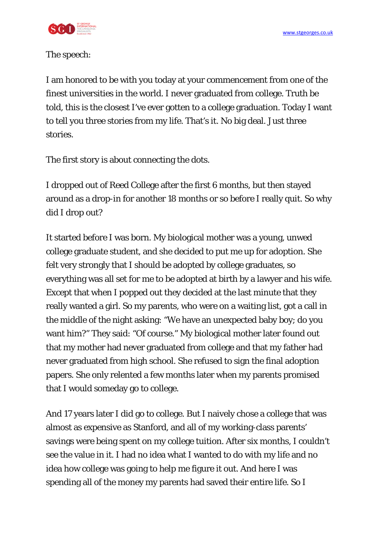

## The speech:

I am honored to be with you today at your commencement from one of the finest universities in the world. I never graduated from college. Truth be told, this is the closest I've ever gotten to a college graduation. Today I want to tell you three stories from my life. That's it. No big deal. Just three stories.

The first story is about connecting the dots.

I dropped out of Reed College after the first 6 months, but then stayed around as a drop-in for another 18 months or so before I really quit. So why did I drop out?

It started before I was born. My biological mother was a young, unwed college graduate student, and she decided to put me up for adoption. She felt very strongly that I should be adopted by college graduates, so everything was all set for me to be adopted at birth by a lawyer and his wife. Except that when I popped out they decided at the last minute that they really wanted a girl. So my parents, who were on a waiting list, got a call in the middle of the night asking: "We have an unexpected baby boy; do you want him?" They said: "Of course." My biological mother later found out that my mother had never graduated from college and that my father had never graduated from high school. She refused to sign the final adoption papers. She only relented a few months later when my parents promised that I would someday go to college.

And 17 years later I did go to college. But I naively chose a college that was almost as expensive as Stanford, and all of my working-class parents' savings were being spent on my college tuition. After six months, I couldn't see the value in it. I had no idea what I wanted to do with my life and no idea how college was going to help me figure it out. And here I was spending all of the money my parents had saved their entire life. So I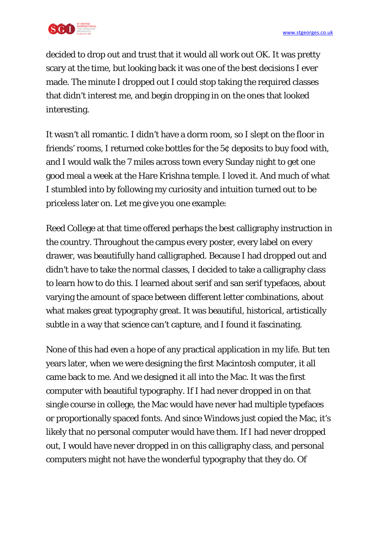

decided to drop out and trust that it would all work out OK. It was pretty scary at the time, but looking back it was one of the best decisions I ever made. The minute I dropped out I could stop taking the required classes that didn't interest me, and begin dropping in on the ones that looked interesting.

It wasn't all romantic. I didn't have a dorm room, so I slept on the floor in friends' rooms, I returned coke bottles for the 5¢ deposits to buy food with, and I would walk the 7 miles across town every Sunday night to get one good meal a week at the Hare Krishna temple. I loved it. And much of what I stumbled into by following my curiosity and intuition turned out to be priceless later on. Let me give you one example:

Reed College at that time offered perhaps the best calligraphy instruction in the country. Throughout the campus every poster, every label on every drawer, was beautifully hand calligraphed. Because I had dropped out and didn't have to take the normal classes, I decided to take a calligraphy class to learn how to do this. I learned about serif and san serif typefaces, about varying the amount of space between different letter combinations, about what makes great typography great. It was beautiful, historical, artistically subtle in a way that science can't capture, and I found it fascinating.

None of this had even a hope of any practical application in my life. But ten years later, when we were designing the first Macintosh computer, it all came back to me. And we designed it all into the Mac. It was the first computer with beautiful typography. If I had never dropped in on that single course in college, the Mac would have never had multiple typefaces or proportionally spaced fonts. And since Windows just copied the Mac, it's likely that no personal computer would have them. If I had never dropped out, I would have never dropped in on this calligraphy class, and personal computers might not have the wonderful typography that they do. Of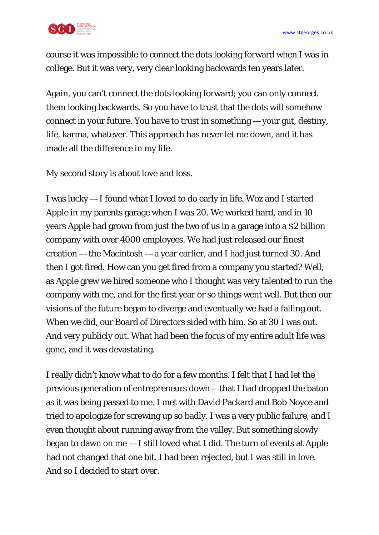

course it was impossible to connect the dots looking forward when I was in college. But it was very, very clear looking backwards ten years later.

Again, you can't connect the dots looking forward; you can only connect them looking backwards. So you have to trust that the dots will somehow connect in your future. You have to trust in something — your gut, destiny, life, karma, whatever. This approach has never let me down, and it has made all the difference in my life.

My second story is about love and loss.

I was lucky — I found what I loved to do early in life. Woz and I started Apple in my parents garage when I was 20. We worked hard, and in 10 years Apple had grown from just the two of us in a garage into a \$2 billion company with over 4000 employees. We had just released our finest creation — the Macintosh — a year earlier, and I had just turned 30. And then I got fired. How can you get fired from a company you started? Well, as Apple grew we hired someone who I thought was very talented to run the company with me, and for the first year or so things went well. But then our visions of the future began to diverge and eventually we had a falling out. When we did, our Board of Directors sided with him. So at 30 I was out. And very publicly out. What had been the focus of my entire adult life was gone, and it was devastating.

I really didn't know what to do for a few months. I felt that I had let the previous generation of entrepreneurs down – that I had dropped the baton as it was being passed to me. I met with David Packard and Bob Noyce and tried to apologize for screwing up so badly. I was a very public failure, and I even thought about running away from the valley. But something slowly began to dawn on me — I still loved what I did. The turn of events at Apple had not changed that one bit. I had been rejected, but I was still in love. And so I decided to start over.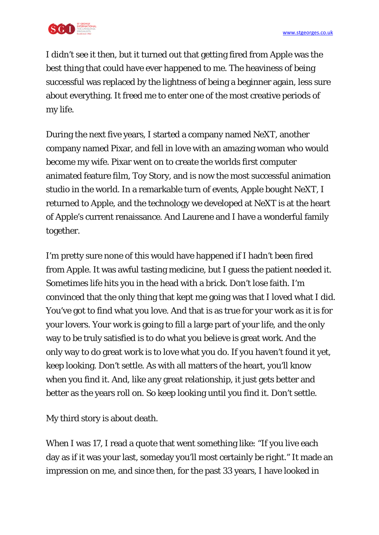

I didn't see it then, but it turned out that getting fired from Apple was the best thing that could have ever happened to me. The heaviness of being successful was replaced by the lightness of being a beginner again, less sure about everything. It freed me to enter one of the most creative periods of my life.

During the next five years, I started a company named NeXT, another company named Pixar, and fell in love with an amazing woman who would become my wife. Pixar went on to create the worlds first computer animated feature film, Toy Story, and is now the most successful animation studio in the world. In a remarkable turn of events, Apple bought NeXT, I returned to Apple, and the technology we developed at NeXT is at the heart of Apple's current renaissance. And Laurene and I have a wonderful family together.

I'm pretty sure none of this would have happened if I hadn't been fired from Apple. It was awful tasting medicine, but I guess the patient needed it. Sometimes life hits you in the head with a brick. Don't lose faith. I'm convinced that the only thing that kept me going was that I loved what I did. You've got to find what you love. And that is as true for your work as it is for your lovers. Your work is going to fill a large part of your life, and the only way to be truly satisfied is to do what you believe is great work. And the only way to do great work is to love what you do. If you haven't found it yet, keep looking. Don't settle. As with all matters of the heart, you'll know when you find it. And, like any great relationship, it just gets better and better as the years roll on. So keep looking until you find it. Don't settle.

My third story is about death.

When I was 17, I read a quote that went something like: "If you live each day as if it was your last, someday you'll most certainly be right." It made an impression on me, and since then, for the past 33 years, I have looked in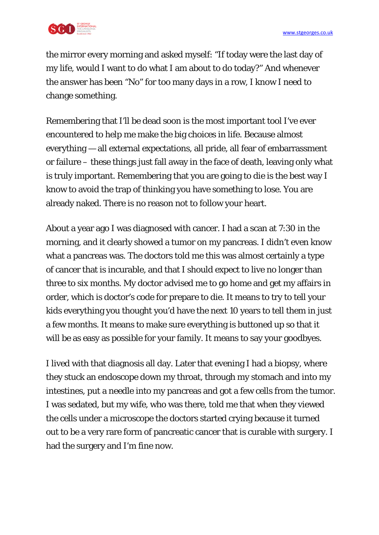

www.stgeorges.co.uk

the mirror every morning and asked myself: "If today were the last day of my life, would I want to do what I am about to do today?" And whenever the answer has been "No" for too many days in a row, I know I need to change something.

Remembering that I'll be dead soon is the most important tool I've ever encountered to help me make the big choices in life. Because almost everything — all external expectations, all pride, all fear of embarrassment or failure – these things just fall away in the face of death, leaving only what is truly important. Remembering that you are going to die is the best way I know to avoid the trap of thinking you have something to lose. You are already naked. There is no reason not to follow your heart.

About a year ago I was diagnosed with cancer. I had a scan at 7:30 in the morning, and it clearly showed a tumor on my pancreas. I didn't even know what a pancreas was. The doctors told me this was almost certainly a type of cancer that is incurable, and that I should expect to live no longer than three to six months. My doctor advised me to go home and get my affairs in order, which is doctor's code for prepare to die. It means to try to tell your kids everything you thought you'd have the next 10 years to tell them in just a few months. It means to make sure everything is buttoned up so that it will be as easy as possible for your family. It means to say your goodbyes.

I lived with that diagnosis all day. Later that evening I had a biopsy, where they stuck an endoscope down my throat, through my stomach and into my intestines, put a needle into my pancreas and got a few cells from the tumor. I was sedated, but my wife, who was there, told me that when they viewed the cells under a microscope the doctors started crying because it turned out to be a very rare form of pancreatic cancer that is curable with surgery. I had the surgery and I'm fine now.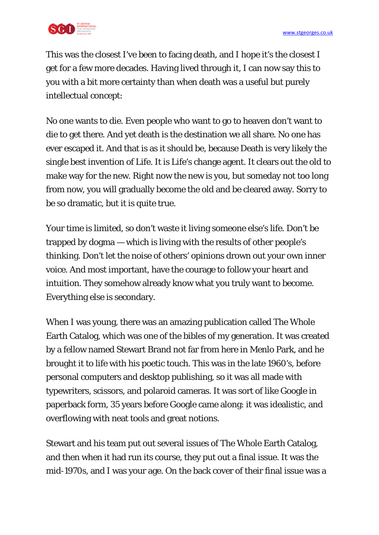

This was the closest I've been to facing death, and I hope it's the closest I get for a few more decades. Having lived through it, I can now say this to you with a bit more certainty than when death was a useful but purely intellectual concept:

No one wants to die. Even people who want to go to heaven don't want to die to get there. And yet death is the destination we all share. No one has ever escaped it. And that is as it should be, because Death is very likely the single best invention of Life. It is Life's change agent. It clears out the old to make way for the new. Right now the new is you, but someday not too long from now, you will gradually become the old and be cleared away. Sorry to be so dramatic, but it is quite true.

Your time is limited, so don't waste it living someone else's life. Don't be trapped by dogma — which is living with the results of other people's thinking. Don't let the noise of others' opinions drown out your own inner voice. And most important, have the courage to follow your heart and intuition. They somehow already know what you truly want to become. Everything else is secondary.

When I was young, there was an amazing publication called The Whole Earth Catalog, which was one of the bibles of my generation. It was created by a fellow named Stewart Brand not far from here in Menlo Park, and he brought it to life with his poetic touch. This was in the late 1960's, before personal computers and desktop publishing, so it was all made with typewriters, scissors, and polaroid cameras. It was sort of like Google in paperback form, 35 years before Google came along: it was idealistic, and overflowing with neat tools and great notions.

Stewart and his team put out several issues of The Whole Earth Catalog, and then when it had run its course, they put out a final issue. It was the mid-1970s, and I was your age. On the back cover of their final issue was a